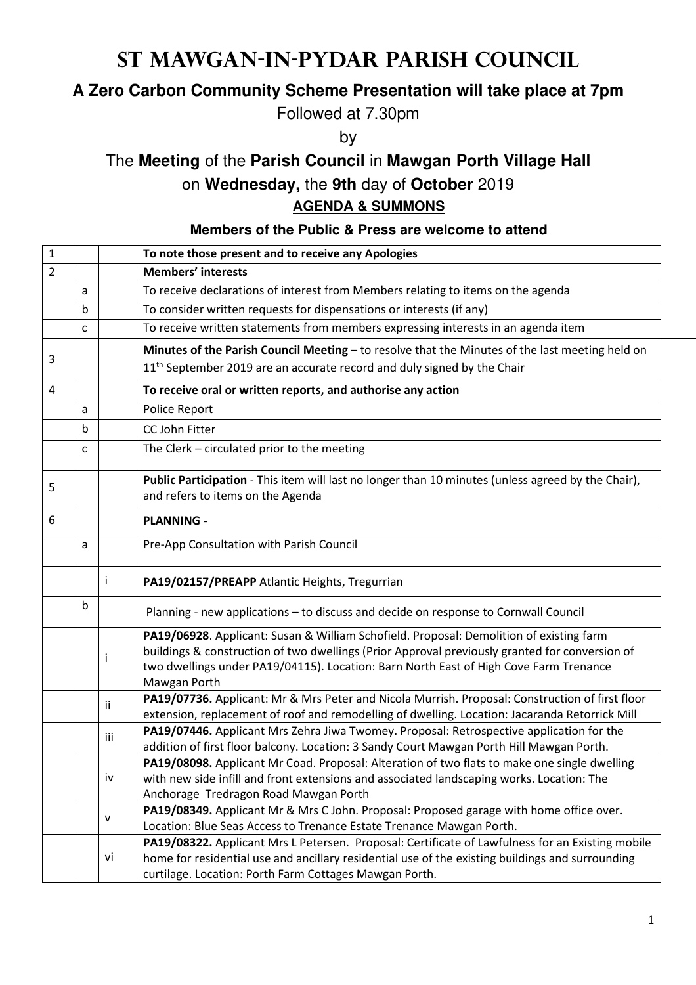# **St Mawgan-in-Pydar Parish Council**

## **A Zero Carbon Community Scheme Presentation will take place at 7pm**

Followed at 7.30pm

by

## The **Meeting** of the **Parish Council** in **Mawgan Porth Village Hall**

### on **Wednesday,** the **9th** day of **October** 2019

#### **AGENDA & SUMMONS**

#### **Members of the Public & Press are welcome to attend**

| $\mathbf{1}$   |             |      | To note those present and to receive any Apologies                                                                                                                                   |
|----------------|-------------|------|--------------------------------------------------------------------------------------------------------------------------------------------------------------------------------------|
| $\overline{2}$ |             |      | <b>Members' interests</b>                                                                                                                                                            |
|                | a           |      | To receive declarations of interest from Members relating to items on the agenda                                                                                                     |
|                | $\mathbf b$ |      | To consider written requests for dispensations or interests (if any)                                                                                                                 |
|                | C           |      | To receive written statements from members expressing interests in an agenda item                                                                                                    |
| 3              |             |      | Minutes of the Parish Council Meeting - to resolve that the Minutes of the last meeting held on                                                                                      |
|                |             |      | 11 <sup>th</sup> September 2019 are an accurate record and duly signed by the Chair                                                                                                  |
| 4              |             |      | To receive oral or written reports, and authorise any action                                                                                                                         |
|                | a           |      | Police Report                                                                                                                                                                        |
|                | b           |      | CC John Fitter                                                                                                                                                                       |
|                | C           |      | The Clerk - circulated prior to the meeting                                                                                                                                          |
|                |             |      |                                                                                                                                                                                      |
| 5              |             |      | Public Participation - This item will last no longer than 10 minutes (unless agreed by the Chair),                                                                                   |
|                |             |      | and refers to items on the Agenda                                                                                                                                                    |
| 6              |             |      | <b>PLANNING -</b>                                                                                                                                                                    |
|                | a           |      | Pre-App Consultation with Parish Council                                                                                                                                             |
|                |             |      |                                                                                                                                                                                      |
|                |             | j.   | PA19/02157/PREAPP Atlantic Heights, Tregurrian                                                                                                                                       |
|                | b           |      | Planning - new applications - to discuss and decide on response to Cornwall Council                                                                                                  |
|                |             |      | PA19/06928. Applicant: Susan & William Schofield. Proposal: Demolition of existing farm                                                                                              |
|                |             | j    | buildings & construction of two dwellings (Prior Approval previously granted for conversion of                                                                                       |
|                |             |      | two dwellings under PA19/04115). Location: Barn North East of High Cove Farm Trenance                                                                                                |
|                |             |      | Mawgan Porth                                                                                                                                                                         |
|                |             | ii.  | PA19/07736. Applicant: Mr & Mrs Peter and Nicola Murrish. Proposal: Construction of first floor                                                                                      |
|                |             |      | extension, replacement of roof and remodelling of dwelling. Location: Jacaranda Retorrick Mill                                                                                       |
|                |             | iii. | PA19/07446. Applicant Mrs Zehra Jiwa Twomey. Proposal: Retrospective application for the<br>addition of first floor balcony. Location: 3 Sandy Court Mawgan Porth Hill Mawgan Porth. |
|                |             |      | PA19/08098. Applicant Mr Coad. Proposal: Alteration of two flats to make one single dwelling                                                                                         |
|                |             | iv   | with new side infill and front extensions and associated landscaping works. Location: The                                                                                            |
|                |             |      | Anchorage Tredragon Road Mawgan Porth                                                                                                                                                |
|                |             |      | PA19/08349. Applicant Mr & Mrs C John. Proposal: Proposed garage with home office over.                                                                                              |
|                |             | v    | Location: Blue Seas Access to Trenance Estate Trenance Mawgan Porth.                                                                                                                 |
|                |             |      | PA19/08322. Applicant Mrs L Petersen. Proposal: Certificate of Lawfulness for an Existing mobile                                                                                     |
|                |             | vi   | home for residential use and ancillary residential use of the existing buildings and surrounding                                                                                     |
|                |             |      | curtilage. Location: Porth Farm Cottages Mawgan Porth.                                                                                                                               |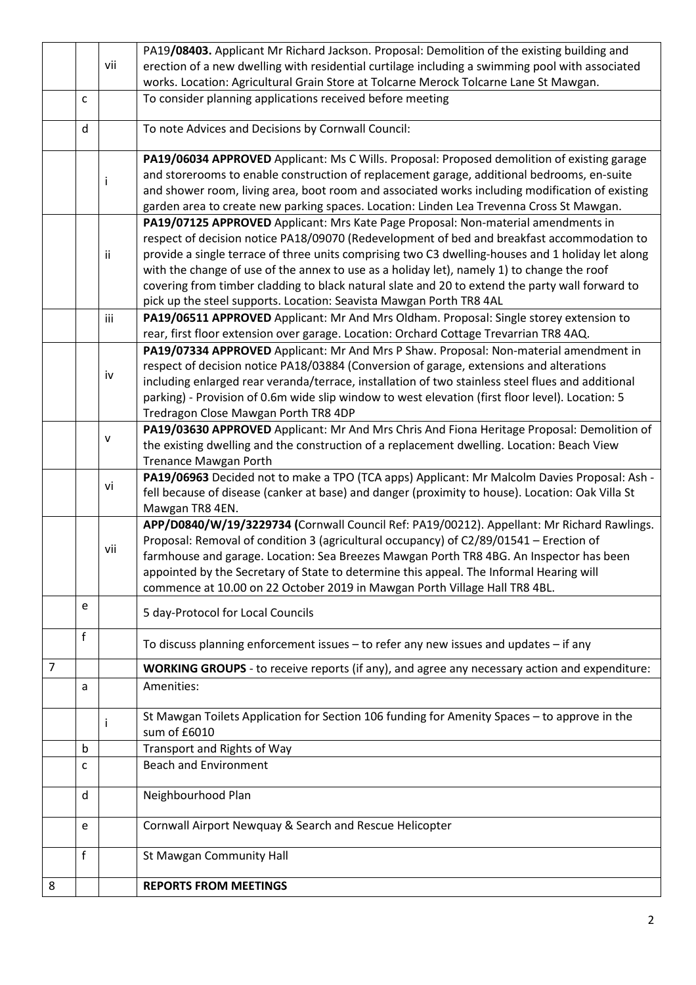|   |   |      | PA19/08403. Applicant Mr Richard Jackson. Proposal: Demolition of the existing building and                                        |
|---|---|------|------------------------------------------------------------------------------------------------------------------------------------|
|   |   | vii  | erection of a new dwelling with residential curtilage including a swimming pool with associated                                    |
|   |   |      | works. Location: Agricultural Grain Store at Tolcarne Merock Tolcarne Lane St Mawgan.                                              |
|   | с |      | To consider planning applications received before meeting                                                                          |
|   |   |      |                                                                                                                                    |
|   | d |      | To note Advices and Decisions by Cornwall Council:                                                                                 |
|   |   |      | PA19/06034 APPROVED Applicant: Ms C Wills. Proposal: Proposed demolition of existing garage                                        |
|   |   | Ť    | and storerooms to enable construction of replacement garage, additional bedrooms, en-suite                                         |
|   |   |      | and shower room, living area, boot room and associated works including modification of existing                                    |
|   |   |      | garden area to create new parking spaces. Location: Linden Lea Trevenna Cross St Mawgan.                                           |
|   |   |      | PA19/07125 APPROVED Applicant: Mrs Kate Page Proposal: Non-material amendments in                                                  |
|   |   |      | respect of decision notice PA18/09070 (Redevelopment of bed and breakfast accommodation to                                         |
|   |   | ii.  | provide a single terrace of three units comprising two C3 dwelling-houses and 1 holiday let along                                  |
|   |   |      | with the change of use of the annex to use as a holiday let), namely 1) to change the roof                                         |
|   |   |      | covering from timber cladding to black natural slate and 20 to extend the party wall forward to                                    |
|   |   |      | pick up the steel supports. Location: Seavista Mawgan Porth TR8 4AL                                                                |
|   |   | iii. | PA19/06511 APPROVED Applicant: Mr And Mrs Oldham. Proposal: Single storey extension to                                             |
|   |   |      | rear, first floor extension over garage. Location: Orchard Cottage Trevarrian TR8 4AQ.                                             |
|   |   |      | PA19/07334 APPROVED Applicant: Mr And Mrs P Shaw. Proposal: Non-material amendment in                                              |
|   |   | iv   | respect of decision notice PA18/03884 (Conversion of garage, extensions and alterations                                            |
|   |   |      | including enlarged rear veranda/terrace, installation of two stainless steel flues and additional                                  |
|   |   |      | parking) - Provision of 0.6m wide slip window to west elevation (first floor level). Location: 5                                   |
|   |   |      | Tredragon Close Mawgan Porth TR8 4DP<br>PA19/03630 APPROVED Applicant: Mr And Mrs Chris And Fiona Heritage Proposal: Demolition of |
|   |   | v    | the existing dwelling and the construction of a replacement dwelling. Location: Beach View                                         |
|   |   |      | Trenance Mawgan Porth                                                                                                              |
|   |   |      | PA19/06963 Decided not to make a TPO (TCA apps) Applicant: Mr Malcolm Davies Proposal: Ash -                                       |
|   |   | vi   | fell because of disease (canker at base) and danger (proximity to house). Location: Oak Villa St                                   |
|   |   |      | Mawgan TR8 4EN.                                                                                                                    |
|   |   |      | APP/D0840/W/19/3229734 (Cornwall Council Ref: PA19/00212). Appellant: Mr Richard Rawlings.                                         |
|   |   |      | Proposal: Removal of condition 3 (agricultural occupancy) of C2/89/01541 - Erection of                                             |
|   |   | vii  | farmhouse and garage. Location: Sea Breezes Mawgan Porth TR8 4BG. An Inspector has been                                            |
|   |   |      | appointed by the Secretary of State to determine this appeal. The Informal Hearing will                                            |
|   |   |      | commence at 10.00 on 22 October 2019 in Mawgan Porth Village Hall TR8 4BL.                                                         |
|   | e |      | 5 day-Protocol for Local Councils                                                                                                  |
|   |   |      |                                                                                                                                    |
|   | f |      | To discuss planning enforcement issues - to refer any new issues and updates - if any                                              |
| 7 |   |      | WORKING GROUPS - to receive reports (if any), and agree any necessary action and expenditure:                                      |
|   | a |      | Amenities:                                                                                                                         |
|   |   |      |                                                                                                                                    |
|   |   | Ť    | St Mawgan Toilets Application for Section 106 funding for Amenity Spaces - to approve in the<br>sum of £6010                       |
|   |   |      |                                                                                                                                    |
|   | b |      | Transport and Rights of Way<br><b>Beach and Environment</b>                                                                        |
|   | с |      |                                                                                                                                    |
|   | d |      | Neighbourhood Plan                                                                                                                 |
|   |   |      |                                                                                                                                    |
|   | e |      | Cornwall Airport Newquay & Search and Rescue Helicopter                                                                            |
|   | f |      | St Mawgan Community Hall                                                                                                           |
| 8 |   |      | <b>REPORTS FROM MEETINGS</b>                                                                                                       |